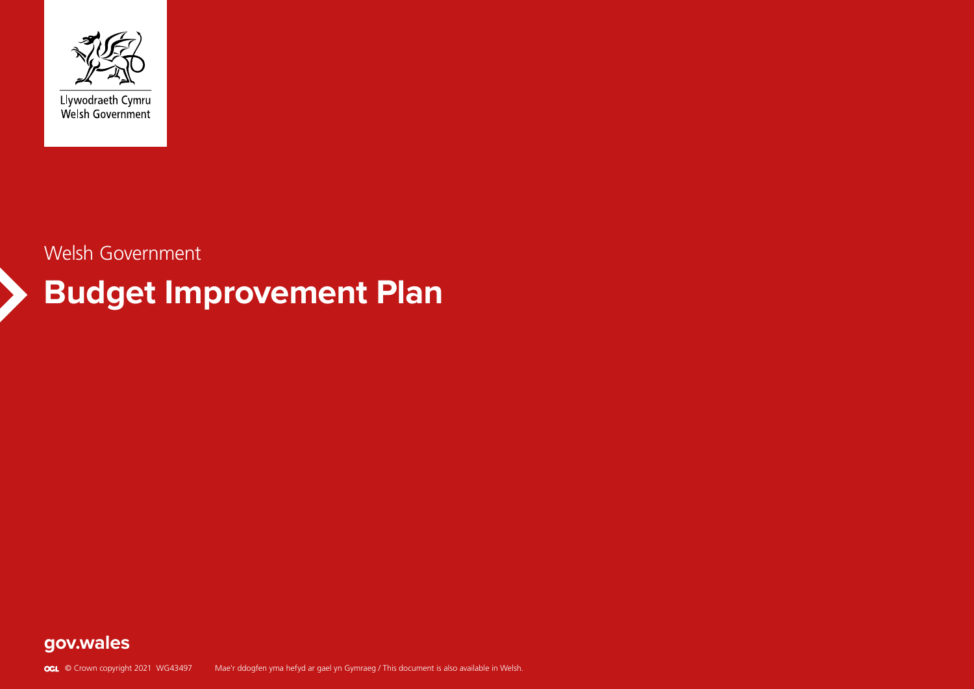

Llywodraeth Cymru<br>Welsh Government

# **Budget Improvement Plan**

Welsh Government

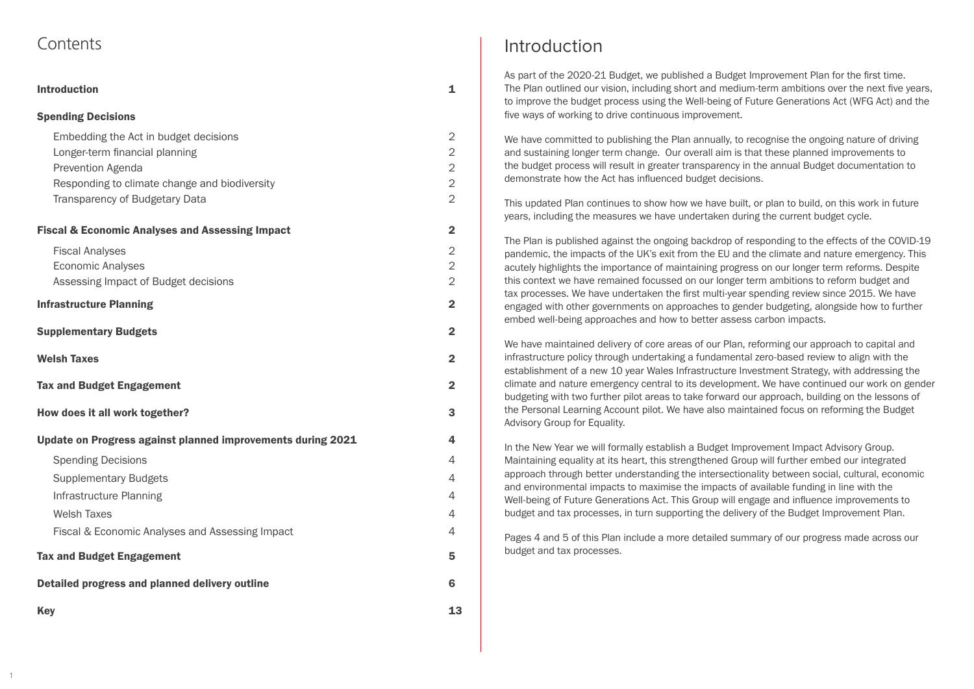## <span id="page-1-0"></span>**Contents**

1

| <b>Introduction</b>                                                                                                                                                                           | 1                                                                                      |
|-----------------------------------------------------------------------------------------------------------------------------------------------------------------------------------------------|----------------------------------------------------------------------------------------|
| <b>Spending Decisions</b>                                                                                                                                                                     |                                                                                        |
| Embedding the Act in budget decisions<br>Longer-term financial planning<br><b>Prevention Agenda</b><br>Responding to climate change and biodiversity<br><b>Transparency of Budgetary Data</b> | $\overline{2}$<br>$\overline{2}$<br>$\overline{2}$<br>$\overline{2}$<br>$\overline{2}$ |
| <b>Fiscal &amp; Economic Analyses and Assessing Impact</b>                                                                                                                                    | $\mathbf{2}$                                                                           |
| <b>Fiscal Analyses</b><br><b>Economic Analyses</b><br>Assessing Impact of Budget decisions                                                                                                    | $\overline{2}$<br>$\overline{2}$<br>$\overline{2}$                                     |
| <b>Infrastructure Planning</b>                                                                                                                                                                | $\overline{2}$                                                                         |
| <b>Supplementary Budgets</b>                                                                                                                                                                  | $\overline{2}$                                                                         |
| <b>Welsh Taxes</b>                                                                                                                                                                            | $\overline{2}$                                                                         |
| <b>Tax and Budget Engagement</b>                                                                                                                                                              | $\mathbf 2$                                                                            |
| How does it all work together?                                                                                                                                                                | 3                                                                                      |
| Update on Progress against planned improvements during 2021                                                                                                                                   | 4                                                                                      |
| <b>Spending Decisions</b>                                                                                                                                                                     | 4                                                                                      |
| <b>Supplementary Budgets</b>                                                                                                                                                                  | 4                                                                                      |
| Infrastructure Planning                                                                                                                                                                       | 4                                                                                      |
| <b>Welsh Taxes</b>                                                                                                                                                                            | 4                                                                                      |
| Fiscal & Economic Analyses and Assessing Impact                                                                                                                                               | 4                                                                                      |
| <b>Tax and Budget Engagement</b>                                                                                                                                                              | 5                                                                                      |
| Detailed progress and planned delivery outline                                                                                                                                                | 6                                                                                      |
| <b>Key</b>                                                                                                                                                                                    | 13                                                                                     |

We have committed to publishing the Plan annually, to recognise the ongoing nature of driving and sustaining longer term change. Our overall aim is that these planned improvements to the budget process will result in greater transparency in the annual Budget documentation to demonstrate how the Act has influenced budget decisions.

# Introduction

As part of the 2020-21 Budget, we published a Budget Improvement Plan for the first time. The Plan outlined our vision, including short and medium-term ambitions over the next five years, to improve the budget process using the Well-being of Future Generations Act (WFG Act) and the five ways of working to drive continuous improvement.

This updated Plan continues to show how we have built, or plan to build, on this work in future years, including the measures we have undertaken during the current budget cycle.

The Plan is published against the ongoing backdrop of responding to the effects of the COVID-19 pandemic, the impacts of the UK's exit from the EU and the climate and nature emergency. This acutely highlights the importance of maintaining progress on our longer term reforms. Despite this context we have remained focussed on our longer term ambitions to reform budget and tax processes. We have undertaken the first multi-year spending review since 2015. We have engaged with other governments on approaches to gender budgeting, alongside how to further embed well-being approaches and how to better assess carbon impacts.

We have maintained delivery of core areas of our Plan, reforming our approach to capital and infrastructure policy through undertaking a fundamental zero-based review to align with the establishment of a new 10 year Wales Infrastructure Investment Strategy, with addressing the climate and nature emergency central to its development. We have continued our work on gender budgeting with two further pilot areas to take forward our approach, building on the lessons of the Personal Learning Account pilot. We have also maintained focus on reforming the Budget Advisory Group for Equality.

In the New Year we will formally establish a Budget Improvement Impact Advisory Group. Maintaining equality at its heart, this strengthened Group will further embed our integrated approach through better understanding the intersectionality between social, cultural, economic and environmental impacts to maximise the impacts of available funding in line with the Well-being of Future Generations Act. This Group will engage and influence improvements to budget and tax processes, in turn supporting the delivery of the Budget Improvement Plan.

Pages 4 and 5 of this Plan include a more detailed summary of our progress made across our budget and tax processes.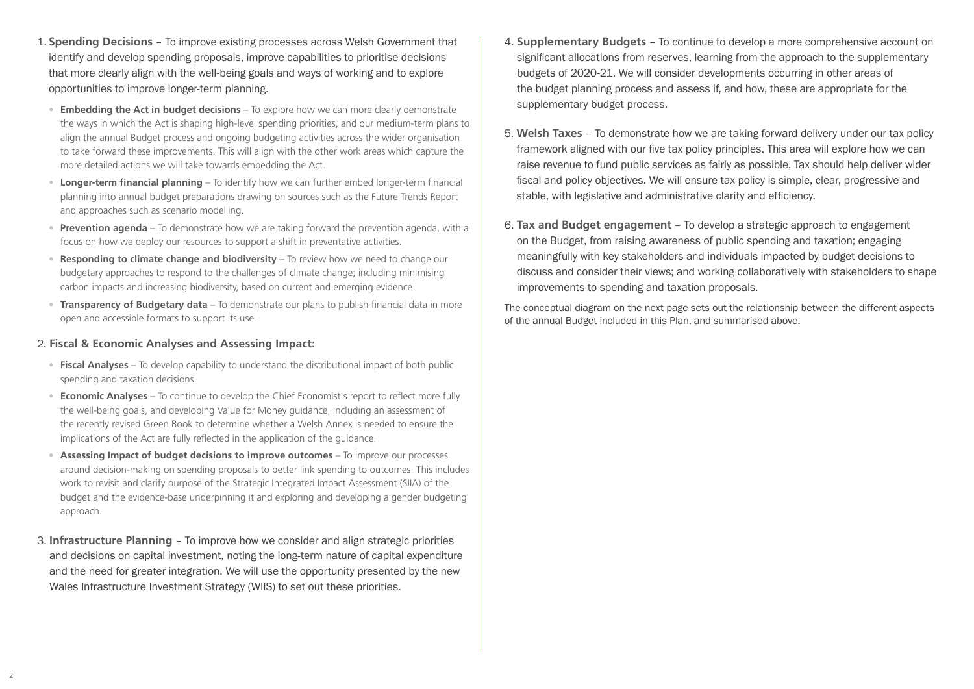- 1. **Spending Decisions** To improve existing processes across Welsh Government that identify and develop spending proposals, improve capabilities to prioritise decisions that more clearly align with the well-being goals and ways of working and to explore opportunities to improve longer-term planning.
	- **Embedding the Act in budget decisions** To explore how we can more clearly demonstrate the ways in which the Act is shaping high-level spending priorities, and our medium-term plans to align the annual Budget process and ongoing budgeting activities across the wider organisation to take forward these improvements. This will align with the other work areas which capture the more detailed actions we will take towards embedding the Act.
	- **Longer-term financial planning** To identify how we can further embed longer-term financial planning into annual budget preparations drawing on sources such as the Future Trends Report and approaches such as scenario modelling.
	- **Prevention agenda** To demonstrate how we are taking forward the prevention agenda, with a focus on how we deploy our resources to support a shift in preventative activities.
	- **Responding to climate change and biodiversity** To review how we need to change our budgetary approaches to respond to the challenges of climate change; including minimising carbon impacts and increasing biodiversity, based on current and emerging evidence.
	- **Transparency of Budgetary data** To demonstrate our plans to publish financial data in more open and accessible formats to support its use.

#### 2. **Fiscal & Economic Analyses and Assessing Impact:**

- **Fiscal Analyses** To develop capability to understand the distributional impact of both public spending and taxation decisions.
- **Economic Analyses** To continue to develop the Chief Economist's report to reflect more fully the well-being goals, and developing Value for Money guidance, including an assessment of the recently revised Green Book to determine whether a Welsh Annex is needed to ensure the implications of the Act are fully reflected in the application of the guidance.
- **Assessing Impact of budget decisions to improve outcomes** To improve our processes around decision-making on spending proposals to better link spending to outcomes. This includes work to revisit and clarify purpose of the Strategic Integrated Impact Assessment (SIIA) of the budget and the evidence-base underpinning it and exploring and developing a gender budgeting approach.
- 3. **Infrastructure Planning** To improve how we consider and align strategic priorities and decisions on capital investment, noting the long-term nature of capital expenditure and the need for greater integration. We will use the opportunity presented by the new Wales Infrastructure Investment Strategy (WIIS) to set out these priorities.
- 4. **Supplementary Budgets** To continue to develop a more comprehensive account on significant allocations from reserves, learning from the approach to the supplementary budgets of 2020-21. We will consider developments occurring in other areas of the budget planning process and assess if, and how, these are appropriate for the supplementary budget process.
- 5. **Welsh Taxes**  To demonstrate how we are taking forward delivery under our tax policy framework aligned with our five tax policy principles. This area will explore how we can raise revenue to fund public services as fairly as possible. Tax should help deliver wider fiscal and policy objectives. We will ensure tax policy is simple, clear, progressive and stable, with legislative and administrative clarity and efficiency.
- 6. **Tax and Budget engagement** To develop a strategic approach to engagement on the Budget, from raising awareness of public spending and taxation; engaging meaningfully with key stakeholders and individuals impacted by budget decisions to discuss and consider their views; and working collaboratively with stakeholders to shape improvements to spending and taxation proposals.

The conceptual diagram on the next page sets out the relationship between the different aspects of the annual Budget included in this Plan, and summarised above.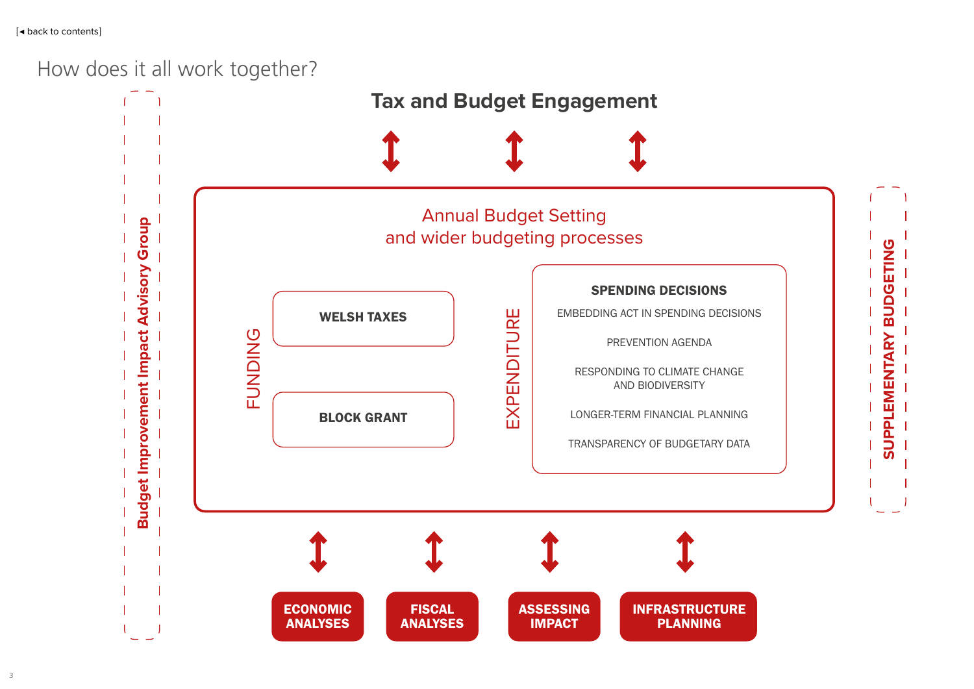# <span id="page-3-0"></span>How does it all work together?



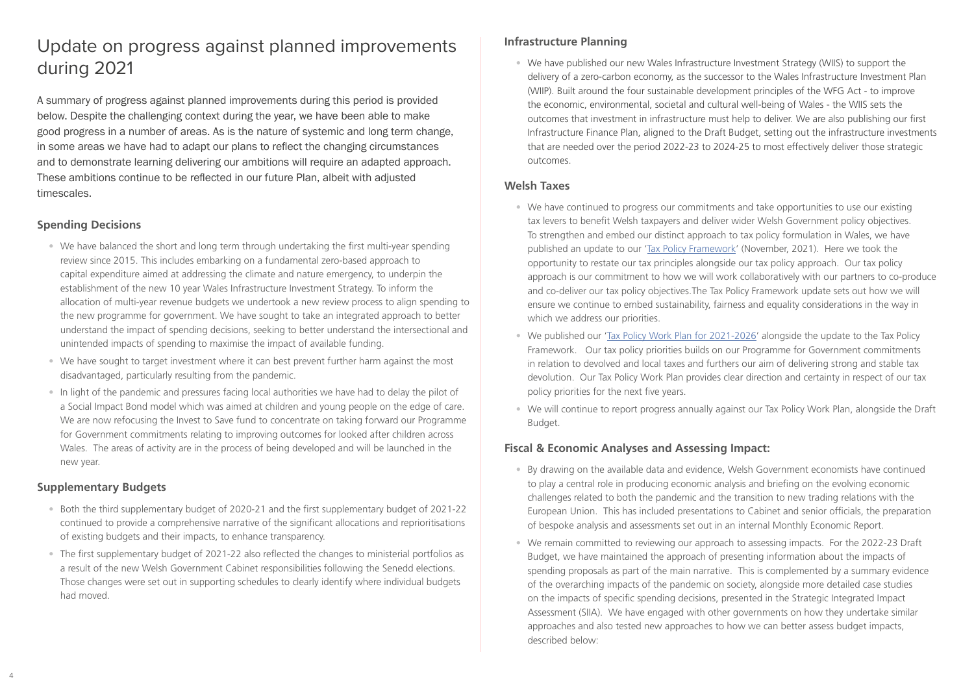# Update on progress against planned improvements during 2021

A summary of progress against planned improvements during this period is provided below. Despite the challenging context during the year, we have been able to make good progress in a number of areas. As is the nature of systemic and long term change, in some areas we have had to adapt our plans to reflect the changing circumstances and to demonstrate learning delivering our ambitions will require an adapted approach. These ambitions continue to be reflected in our future Plan, albeit with adjusted timescales.

#### **Spending Decisions**

- We have balanced the short and long term through undertaking the first multi-year spending review since 2015. This includes embarking on a fundamental zero-based approach to capital expenditure aimed at addressing the climate and nature emergency, to underpin the establishment of the new 10 year Wales Infrastructure Investment Strategy. To inform the allocation of multi-year revenue budgets we undertook a new review process to align spending to the new programme for government. We have sought to take an integrated approach to better understand the impact of spending decisions, seeking to better understand the intersectional and unintended impacts of spending to maximise the impact of available funding.
- We have sought to target investment where it can best prevent further harm against the most disadvantaged, particularly resulting from the pandemic.
- In light of the pandemic and pressures facing local authorities we have had to delay the pilot of a Social Impact Bond model which was aimed at children and young people on the edge of care. We are now refocusing the Invest to Save fund to concentrate on taking forward our Programme for Government commitments relating to improving outcomes for looked after children across Wales. The areas of activity are in the process of being developed and will be launched in the new year.

#### **Supplementary Budgets**

- Both the third supplementary budget of 2020-21 and the first supplementary budget of 2021-22 continued to provide a comprehensive narrative of the significant allocations and reprioritisations of existing budgets and their impacts, to enhance transparency.
- The first supplementary budget of 2021-22 also reflected the changes to ministerial portfolios as a result of the new Welsh Government Cabinet responsibilities following the Senedd elections. Those changes were set out in supporting schedules to clearly identify where individual budgets had moved.
- We have continued to progress our commitments and take opportunities to use our existing tax levers to benefit Welsh taxpayers and deliver wider Welsh Government policy objectives. To strengthen and embed our distinct approach to tax policy formulation in Wales, we have published an update to our '[Tax Policy Framework'](https://gov.wales/sites/default/files/publications/2021-11/tax-policy-framework-update.pdf) (November, 2021). Here we took the opportunity to restate our tax principles alongside our tax policy approach. Our tax policy approach is our commitment to how we will work collaboratively with our partners to co-produce and co-deliver our tax policy objectives.The Tax Policy Framework update sets out how we will ensure we continue to embed sustainability, fairness and equality considerations in the way in which we address our priorities.
- We published our ['Tax Policy Work Plan for 2021-2026'](https://gov.wales/sites/default/files/publications/2021-11/tax-policy-work-plan-2021-to-2026.pdf) alongside the update to the Tax Policy Framework. Our tax policy priorities builds on our Programme for Government commitments in relation to devolved and local taxes and furthers our aim of delivering strong and stable tax devolution. Our Tax Policy Work Plan provides clear direction and certainty in respect of our tax policy priorities for the next five years.
- We will continue to report progress annually against our Tax Policy Work Plan, alongside the Draft Budget.

#### **Infrastructure Planning**

• We have published our new Wales Infrastructure Investment Strategy (WIIS) to support the delivery of a zero-carbon economy, as the successor to the Wales Infrastructure Investment Plan (WIIP). Built around the four sustainable development principles of the WFG Act - to improve the economic, environmental, societal and cultural well-being of Wales - the WIIS sets the outcomes that investment in infrastructure must help to deliver. We are also publishing our first Infrastructure Finance Plan, aligned to the Draft Budget, setting out the infrastructure investments that are needed over the period 2022-23 to 2024-25 to most effectively deliver those strategic outcomes.

#### **Welsh Taxes**

### **Fiscal & Economic Analyses and Assessing Impact:**

- By drawing on the available data and evidence, Welsh Government economists have continued to play a central role in producing economic analysis and briefing on the evolving economic challenges related to both the pandemic and the transition to new trading relations with the European Union. This has included presentations to Cabinet and senior officials, the preparation of bespoke analysis and assessments set out in an internal Monthly Economic Report.
- We remain committed to reviewing our approach to assessing impacts. For the 2022-23 Draft Budget, we have maintained the approach of presenting information about the impacts of spending proposals as part of the main narrative. This is complemented by a summary evidence of the overarching impacts of the pandemic on society, alongside more detailed case studies on the impacts of specific spending decisions, presented in the Strategic Integrated Impact Assessment (SIIA). We have engaged with other governments on how they undertake similar approaches and also tested new approaches to how we can better assess budget impacts, described below: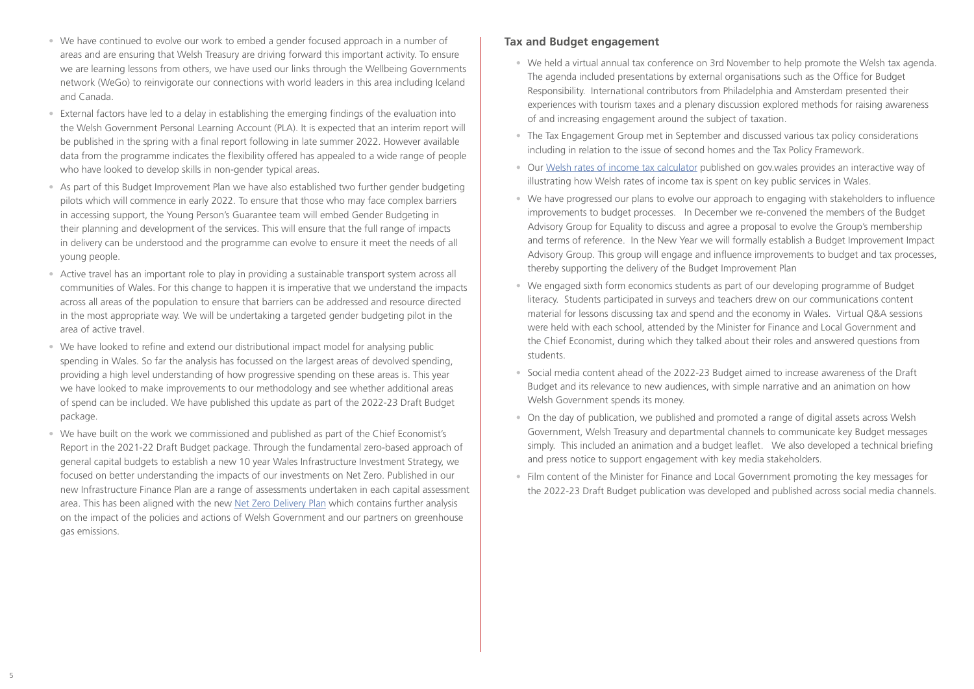- We have continued to evolve our work to embed a gender focused approach in a number of areas and are ensuring that Welsh Treasury are driving forward this important activity. To ensure we are learning lessons from others, we have used our links through the Wellbeing Governments network (WeGo) to reinvigorate our connections with world leaders in this area including Iceland and Canada.
- External factors have led to a delay in establishing the emerging findings of the evaluation into the Welsh Government Personal Learning Account (PLA). It is expected that an interim report will be published in the spring with a final report following in late summer 2022. However available data from the programme indicates the flexibility offered has appealed to a wide range of people who have looked to develop skills in non-gender typical areas.
- As part of this Budget Improvement Plan we have also established two further gender budgeting pilots which will commence in early 2022. To ensure that those who may face complex barriers in accessing support, the Young Person's Guarantee team will embed Gender Budgeting in their planning and development of the services. This will ensure that the full range of impacts in delivery can be understood and the programme can evolve to ensure it meet the needs of all young people.
- Active travel has an important role to play in providing a sustainable transport system across all communities of Wales. For this change to happen it is imperative that we understand the impacts across all areas of the population to ensure that barriers can be addressed and resource directed in the most appropriate way. We will be undertaking a targeted gender budgeting pilot in the area of active travel.
- We have looked to refine and extend our distributional impact model for analysing public spending in Wales. So far the analysis has focussed on the largest areas of devolved spending, providing a high level understanding of how progressive spending on these areas is. This year we have looked to make improvements to our methodology and see whether additional areas of spend can be included. We have published this update as part of the 2022-23 Draft Budget package.
- We have built on the work we commissioned and published as part of the Chief Economist's Report in the 2021-22 Draft Budget package. Through the fundamental zero-based approach of general capital budgets to establish a new 10 year Wales Infrastructure Investment Strategy, we focused on better understanding the impacts of our investments on Net Zero. Published in our new Infrastructure Finance Plan are a range of assessments undertaken in each capital assessment area. This has been aligned with the new [Net Zero Delivery Plan](https://eur01.safelinks.protection.outlook.com/?url=https%3A%2F%2Fgov.wales%2Fsites%2Fdefault%2Ffiles%2Fpublications%2F2021-10%2Fworking-together-to-reach-net-zero-all-wales-plan.pdf&data=04%7C01%7CKaren.McClean%40gov.wales%7Cac3db9c5c6c1491a59d508d9c0a0240b%7Ca2cc36c592804ae78887d06dab89216b%7C0%7C0%7C637752616293676723%7CUnknown%7CTWFpbGZsb3d8eyJWIjoiMC4wLjAwMDAiLCJQIjoiV2luMzIiLCJBTiI6Ik1haWwiLCJXVCI6Mn0%3D%7C3000&sdata=fjubNKdtI%2BxhSdBsct6rl7wylEwiAm1zbwPyV5MjWZ4%3D&reserved=0) which contains further analysis on the impact of the policies and actions of Welsh Government and our partners on greenhouse gas emissions.

#### **Tax and Budget engagement**

- We held a virtual annual tax conference on 3rd November to help promote the Welsh tax agenda. The agenda included presentations by external organisations such as the Office for Budget Responsibility. International contributors from Philadelphia and Amsterdam presented their experiences with tourism taxes and a plenary discussion explored methods for raising awareness of and increasing engagement around the subject of taxation.
- The Tax Engagement Group met in September and discussed various tax policy considerations including in relation to the issue of second homes and the Tax Policy Framework.
- Our [Welsh rates of income tax calculator](https://eur01.safelinks.protection.outlook.com/?url=https%3A%2F%2Fgov.wales%2Fcalculate-welsh-income-tax-spend&data=04%7C01%7CRuth.Leggett%40gov.wales%7C5fe5a3a940f7401b2f7b08d9b8b81f78%7Ca2cc36c592804ae78887d06dab89216b%7C0%7C0%7C637743923213088218%7CUnknown%7CTWFpbGZsb3d8eyJWIjoiMC4wLjAwMDAiLCJQIjoiV2luMzIiLCJBTiI6Ik1haWwiLCJXVCI6Mn0%3D%7C3000&sdata=XzStLp%2FuVSXM6sxszqRIakRs3xyYysVupNFhcZvgvys%3D&reserved=0) published on gov.wales provides an interactive way of illustrating how Welsh rates of income tax is spent on key public services in Wales.
- We have progressed our plans to evolve our approach to engaging with stakeholders to influence improvements to budget processes. In December we re-convened the members of the Budget Advisory Group for Equality to discuss and agree a proposal to evolve the Group's membership and terms of reference. In the New Year we will formally establish a Budget Improvement Impact Advisory Group. This group will engage and influence improvements to budget and tax processes, thereby supporting the delivery of the Budget Improvement Plan
- We engaged sixth form economics students as part of our developing programme of Budget literacy. Students participated in surveys and teachers drew on our communications content material for lessons discussing tax and spend and the economy in Wales. Virtual Q&A sessions were held with each school, attended by the Minister for Finance and Local Government and the Chief Economist, during which they talked about their roles and answered questions from students.
- Social media content ahead of the 2022-23 Budget aimed to increase awareness of the Draft Budget and its relevance to new audiences, with simple narrative and an animation on how Welsh Government spends its money.
- On the day of publication, we published and promoted a range of digital assets across Welsh Government, Welsh Treasury and departmental channels to communicate key Budget messages simply. This included an animation and a budget leaflet. We also developed a technical briefing and press notice to support engagement with key media stakeholders.
- Film content of the Minister for Finance and Local Government promoting the key messages for the 2022-23 Draft Budget publication was developed and published across social media channels.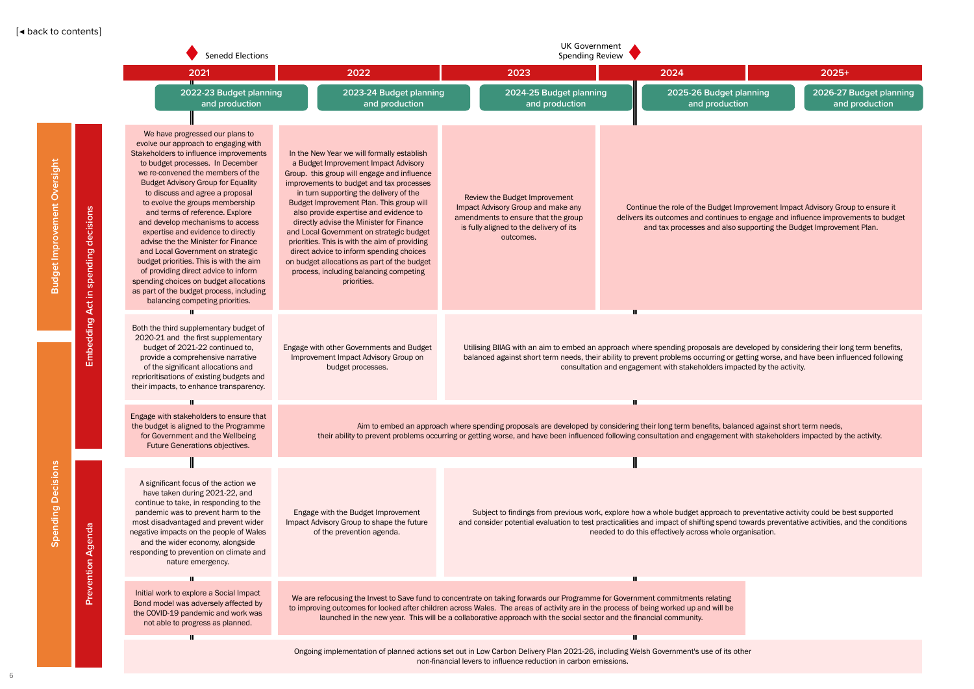

<span id="page-6-0"></span>

|                              |                                 | <b>Senedd Elections</b>                                                                                                                                                                                                                                                                                                                                                                                                                                                                                                                                                                                                                                                                                            |                                                                                                                                                                                                                                                                                                                                                                                                                                                                                                                                                                                                            | <b>UK Government</b><br><b>Spending Review</b>                                                                                                                                                                                                                                                                                        |                                                                                                                                                                                                                                                                                                                            |                                                                                                                                                                                                                                |  |  |  |
|------------------------------|---------------------------------|--------------------------------------------------------------------------------------------------------------------------------------------------------------------------------------------------------------------------------------------------------------------------------------------------------------------------------------------------------------------------------------------------------------------------------------------------------------------------------------------------------------------------------------------------------------------------------------------------------------------------------------------------------------------------------------------------------------------|------------------------------------------------------------------------------------------------------------------------------------------------------------------------------------------------------------------------------------------------------------------------------------------------------------------------------------------------------------------------------------------------------------------------------------------------------------------------------------------------------------------------------------------------------------------------------------------------------------|---------------------------------------------------------------------------------------------------------------------------------------------------------------------------------------------------------------------------------------------------------------------------------------------------------------------------------------|----------------------------------------------------------------------------------------------------------------------------------------------------------------------------------------------------------------------------------------------------------------------------------------------------------------------------|--------------------------------------------------------------------------------------------------------------------------------------------------------------------------------------------------------------------------------|--|--|--|
|                              |                                 | 2021                                                                                                                                                                                                                                                                                                                                                                                                                                                                                                                                                                                                                                                                                                               | 2022                                                                                                                                                                                                                                                                                                                                                                                                                                                                                                                                                                                                       | 2023                                                                                                                                                                                                                                                                                                                                  | 2024                                                                                                                                                                                                                                                                                                                       | $2025+$                                                                                                                                                                                                                        |  |  |  |
|                              |                                 | 2022-23 Budget planning<br>and production                                                                                                                                                                                                                                                                                                                                                                                                                                                                                                                                                                                                                                                                          | 2023-24 Budget planning<br>and production                                                                                                                                                                                                                                                                                                                                                                                                                                                                                                                                                                  | 2024-25 Budget planning<br>and production                                                                                                                                                                                                                                                                                             | 2025-26 Budget planning<br>and production                                                                                                                                                                                                                                                                                  | 2026-27 Budget<br>and product                                                                                                                                                                                                  |  |  |  |
| Budget Improvement Oversight | decisions<br>spending<br>Act in | We have progressed our plans to<br>evolve our approach to engaging with<br>Stakeholders to influence improvements<br>to budget processes. In December<br>we re-convened the members of the<br><b>Budget Advisory Group for Equality</b><br>to discuss and agree a proposal<br>to evolve the groups membership<br>and terms of reference. Explore<br>and develop mechanisms to access<br>expertise and evidence to directly<br>advise the the Minister for Finance<br>and Local Government on strategic<br>budget priorities. This is with the aim<br>of providing direct advice to inform<br>spending choices on budget allocations<br>as part of the budget process, including<br>balancing competing priorities. | In the New Year we will formally establish<br>a Budget Improvement Impact Advisory<br>Group. this group will engage and influence<br>improvements to budget and tax processes<br>in turn supporting the delivery of the<br>Budget Improvement Plan. This group will<br>also provide expertise and evidence to<br>directly advise the Minister for Finance<br>and Local Government on strategic budget<br>priorities. This is with the aim of providing<br>direct advice to inform spending choices<br>on budget allocations as part of the budget<br>process, including balancing competing<br>priorities. | Review the Budget Improvement<br>Impact Advisory Group and make any<br>amendments to ensure that the group<br>is fully aligned to the delivery of its<br>outcomes.                                                                                                                                                                    |                                                                                                                                                                                                                                                                                                                            | Continue the role of the Budget Improvement Impact Advisory Group to ensu<br>delivers its outcomes and continues to engage and influence improvements to<br>and tax processes and also supporting the Budget Improvement Plan. |  |  |  |
|                              | Embedding                       | Both the third supplementary budget of<br>2020-21 and the first supplementary<br>budget of 2021-22 continued to,<br>provide a comprehensive narrative<br>of the significant allocations and<br>reprioritisations of existing budgets and<br>their impacts, to enhance transparency.                                                                                                                                                                                                                                                                                                                                                                                                                                | Engage with other Governments and Budget<br>Improvement Impact Advisory Group on<br>budget processes.                                                                                                                                                                                                                                                                                                                                                                                                                                                                                                      | Utilising BIIAG with an aim to embed an approach where spending proposals are developed by considering their long term be<br>balanced against short term needs, their ability to prevent problems occurring or getting worse, and have been influenced fol<br>consultation and engagement with stakeholders impacted by the activity. |                                                                                                                                                                                                                                                                                                                            |                                                                                                                                                                                                                                |  |  |  |
|                              |                                 | Engage with stakeholders to ensure that<br>the budget is aligned to the Programme<br>for Government and the Wellbeing<br>Future Generations objectives.                                                                                                                                                                                                                                                                                                                                                                                                                                                                                                                                                            |                                                                                                                                                                                                                                                                                                                                                                                                                                                                                                                                                                                                            | Aim to embed an approach where spending proposals are developed by considering their long term benefits, balanced against short term needs,<br>their ability to prevent problems occurring or getting worse, and have been influenced following consultation and engagement with stakeholders impacted by the activity.               |                                                                                                                                                                                                                                                                                                                            |                                                                                                                                                                                                                                |  |  |  |
|                              |                                 |                                                                                                                                                                                                                                                                                                                                                                                                                                                                                                                                                                                                                                                                                                                    |                                                                                                                                                                                                                                                                                                                                                                                                                                                                                                                                                                                                            |                                                                                                                                                                                                                                                                                                                                       |                                                                                                                                                                                                                                                                                                                            |                                                                                                                                                                                                                                |  |  |  |
| <b>Spending Decisions</b>    | Agenda<br>Prevention            | A significant focus of the action we<br>have taken during 2021-22, and<br>continue to take, in responding to the<br>pandemic was to prevent harm to the<br>most disadvantaged and prevent wider<br>negative impacts on the people of Wales<br>and the wider economy, alongside<br>responding to prevention on climate and<br>nature emergency.                                                                                                                                                                                                                                                                                                                                                                     | Engage with the Budget Improvement<br>Impact Advisory Group to shape the future<br>of the prevention agenda.                                                                                                                                                                                                                                                                                                                                                                                                                                                                                               |                                                                                                                                                                                                                                                                                                                                       | Subject to findings from previous work, explore how a whole budget approach to preventative activity could be best suppor<br>and consider potential evaluation to test practicalities and impact of shifting spend towards preventative activities, and the co<br>needed to do this effectively across whole organisation. |                                                                                                                                                                                                                                |  |  |  |
|                              |                                 |                                                                                                                                                                                                                                                                                                                                                                                                                                                                                                                                                                                                                                                                                                                    |                                                                                                                                                                                                                                                                                                                                                                                                                                                                                                                                                                                                            |                                                                                                                                                                                                                                                                                                                                       |                                                                                                                                                                                                                                                                                                                            |                                                                                                                                                                                                                                |  |  |  |
|                              |                                 | Initial work to explore a Social Impact<br>Bond model was adversely affected by<br>the COVID-19 pandemic and work was<br>not able to progress as planned.                                                                                                                                                                                                                                                                                                                                                                                                                                                                                                                                                          | We are refocusing the Invest to Save fund to concentrate on taking forwards our Programme for Government commitments relating<br>to improving outcomes for looked after children across Wales. The areas of activity are in the process of being worked up and will be                                                                                                                                                                                                                                                                                                                                     | launched in the new year. This will be a collaborative approach with the social sector and the financial community.                                                                                                                                                                                                                   |                                                                                                                                                                                                                                                                                                                            |                                                                                                                                                                                                                                |  |  |  |
|                              |                                 | Ш                                                                                                                                                                                                                                                                                                                                                                                                                                                                                                                                                                                                                                                                                                                  |                                                                                                                                                                                                                                                                                                                                                                                                                                                                                                                                                                                                            |                                                                                                                                                                                                                                                                                                                                       |                                                                                                                                                                                                                                                                                                                            |                                                                                                                                                                                                                                |  |  |  |
|                              |                                 |                                                                                                                                                                                                                                                                                                                                                                                                                                                                                                                                                                                                                                                                                                                    |                                                                                                                                                                                                                                                                                                                                                                                                                                                                                                                                                                                                            | Ongoing implementation of planned actions set out in Low Carbon Delivery Plan 2021-26, including Welsh Government's use of its other<br>non-financial levers to influence reduction in carbon emissions.                                                                                                                              |                                                                                                                                                                                                                                                                                                                            |                                                                                                                                                                                                                                |  |  |  |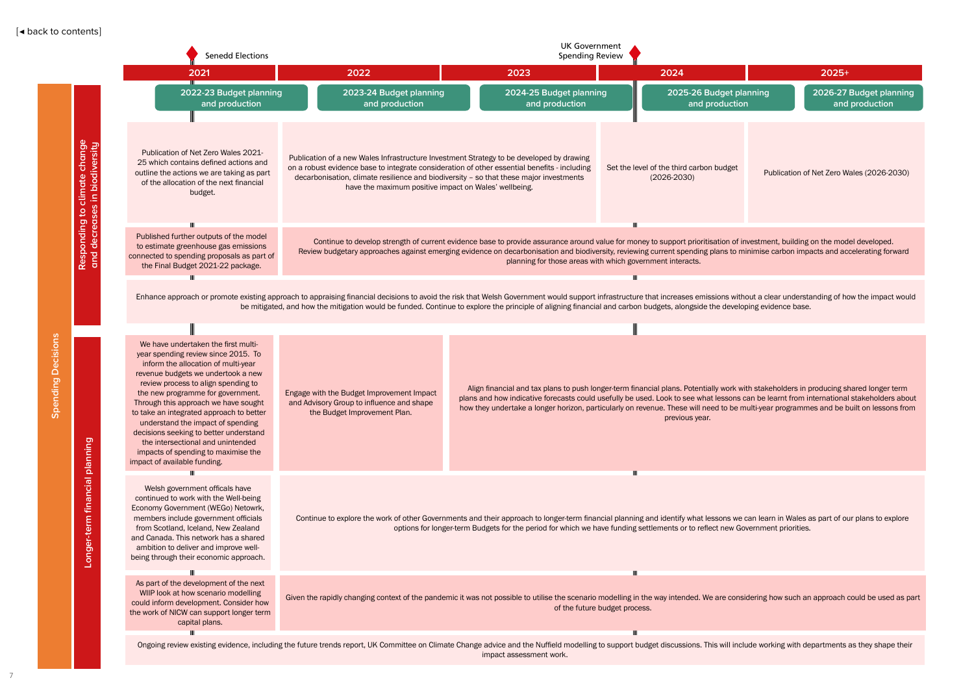

nsidering how such an approach could be used as part

nclude working with departments as they shape their

<span id="page-7-0"></span>

|                                   |                                                             | <b>Senedd Elections</b>                                                                                                                                                                                                                                                                                                                                                                                                                                                                                            | <b>UK Government</b><br><b>Spending Review</b>                                                                                                                                                                                                                                                                                                                                                  |                                                                                                                                                                                                                                                                                                       |                                                                                                                                                                                                                                                                                                                                                                                      |                           |  |  |  |
|-----------------------------------|-------------------------------------------------------------|--------------------------------------------------------------------------------------------------------------------------------------------------------------------------------------------------------------------------------------------------------------------------------------------------------------------------------------------------------------------------------------------------------------------------------------------------------------------------------------------------------------------|-------------------------------------------------------------------------------------------------------------------------------------------------------------------------------------------------------------------------------------------------------------------------------------------------------------------------------------------------------------------------------------------------|-------------------------------------------------------------------------------------------------------------------------------------------------------------------------------------------------------------------------------------------------------------------------------------------------------|--------------------------------------------------------------------------------------------------------------------------------------------------------------------------------------------------------------------------------------------------------------------------------------------------------------------------------------------------------------------------------------|---------------------------|--|--|--|
|                                   |                                                             | 2021                                                                                                                                                                                                                                                                                                                                                                                                                                                                                                               | 2022                                                                                                                                                                                                                                                                                                                                                                                            | 2023                                                                                                                                                                                                                                                                                                  | 2024                                                                                                                                                                                                                                                                                                                                                                                 | 2025+                     |  |  |  |
|                                   |                                                             | 2022-23 Budget planning<br>and production                                                                                                                                                                                                                                                                                                                                                                                                                                                                          | 2023-24 Budget planning<br>and production                                                                                                                                                                                                                                                                                                                                                       | 2024-25 Budget planning<br>and production                                                                                                                                                                                                                                                             | 2025-26 Budget planning<br>and production                                                                                                                                                                                                                                                                                                                                            | 2026-27<br>and            |  |  |  |
| ons<br>あ<br>Φ<br>≏<br>puipu<br>တိ | change<br>biodiversity<br>climate<br>ses in<br>$\mathsf{S}$ | Publication of Net Zero Wales 2021-<br>25 which contains defined actions and<br>outline the actions we are taking as part<br>of the allocation of the next financial<br>budget.                                                                                                                                                                                                                                                                                                                                    | Publication of a new Wales Infrastructure Investment Strategy to be developed by drawing<br>on a robust evidence base to integrate consideration of other essential benefits - including<br>decarbonisation, climate resilience and biodiversity - so that these major investments<br>have the maximum positive impact on Wales' wellbeing.                                                     |                                                                                                                                                                                                                                                                                                       | Set the level of the third carbon budget<br>$(2026 - 2030)$                                                                                                                                                                                                                                                                                                                          | Publication of Net Zero W |  |  |  |
|                                   | decrea<br>onding<br>Resp<br>and                             | Published further outputs of the model<br>to estimate greenhouse gas emissions<br>connected to spending proposals as part of<br>the Final Budget 2021-22 package.                                                                                                                                                                                                                                                                                                                                                  | Continue to develop strength of current evidence base to provide assurance around value for money to support prioritisation of investment, building on the mod<br>Review budgetary approaches against emerging evidence on decarbonisation and biodiversity, reviewing current spending plans to minimise carbon impacts and ac<br>planning for those areas with which government interacts.    |                                                                                                                                                                                                                                                                                                       |                                                                                                                                                                                                                                                                                                                                                                                      |                           |  |  |  |
|                                   |                                                             |                                                                                                                                                                                                                                                                                                                                                                                                                                                                                                                    | Enhance approach or promote existing approach to appraising financial decisions to avoid the risk that Welsh Government would support infrastructure that increases emissions without a clear understanding of hot<br>be mitigated, and how the mitigation would be funded. Continue to explore the principle of aligning financial and carbon budgets, alongside the developing evidence base. |                                                                                                                                                                                                                                                                                                       | TIL                                                                                                                                                                                                                                                                                                                                                                                  |                           |  |  |  |
|                                   |                                                             | We have undertaken the first multi-<br>year spending review since 2015. To<br>inform the allocation of multi-year<br>revenue budgets we undertook a new<br>review process to align spending to<br>the new programme for government.<br>Through this approach we have sought<br>to take an integrated approach to better<br>understand the impact of spending<br>decisions seeking to better understand<br>the intersectional and unintended<br>impacts of spending to maximise the<br>impact of available funding. | Engage with the Budget Improvement Impact<br>and Advisory Group to influence and shape<br>the Budget Improvement Plan.                                                                                                                                                                                                                                                                          |                                                                                                                                                                                                                                                                                                       | Align financial and tax plans to push longer-term financial plans. Potentially work with stakeholders in producing sl<br>plans and how indicative forecasts could usefully be used. Look to see what lessons can be learnt from internationa<br>how they undertake a longer horizon, particularly on revenue. These will need to be multi-year programmes and be b<br>previous year. |                           |  |  |  |
|                                   | Longer-term financial planning                              | Ш<br>Welsh government officals have<br>continued to work with the Well-being<br>Economy Government (WEGo) Netowrk,<br>members include government officials<br>from Scotland, Iceland, New Zealand<br>and Canada. This network has a shared<br>ambition to deliver and improve well-<br>being through their economic approach.                                                                                                                                                                                      |                                                                                                                                                                                                                                                                                                                                                                                                 | Continue to explore the work of other Governments and their approach to longer-term financial planning and identify what lessons we can learn in Wales as part of or<br>options for longer-term Budgets for the period for which we have funding settlements or to reflect new Government priorities. | Ш                                                                                                                                                                                                                                                                                                                                                                                    |                           |  |  |  |
|                                   |                                                             | Ш<br>As part of the development of the next<br>WIIP look at how scenario modelling<br>could inform development. Consider how<br>the work of NICW can support longer term<br>capital plans.                                                                                                                                                                                                                                                                                                                         | Given the rapidly changing context of the pandemic it was not possible to utilise the scenario modelling in the way intended. We are considering how such an approach                                                                                                                                                                                                                           |                                                                                                                                                                                                                                                                                                       | TШ<br>of the future budget process.                                                                                                                                                                                                                                                                                                                                                  |                           |  |  |  |
|                                   |                                                             | Ш                                                                                                                                                                                                                                                                                                                                                                                                                                                                                                                  | Ongoing review existing evidence, including the future trends report, UK Committee on Climate Change advice and the Nuffield modelling to support budget discussions. This will include working with departments                                                                                                                                                                                | impact assessment work.                                                                                                                                                                                                                                                                               | TIL                                                                                                                                                                                                                                                                                                                                                                                  |                           |  |  |  |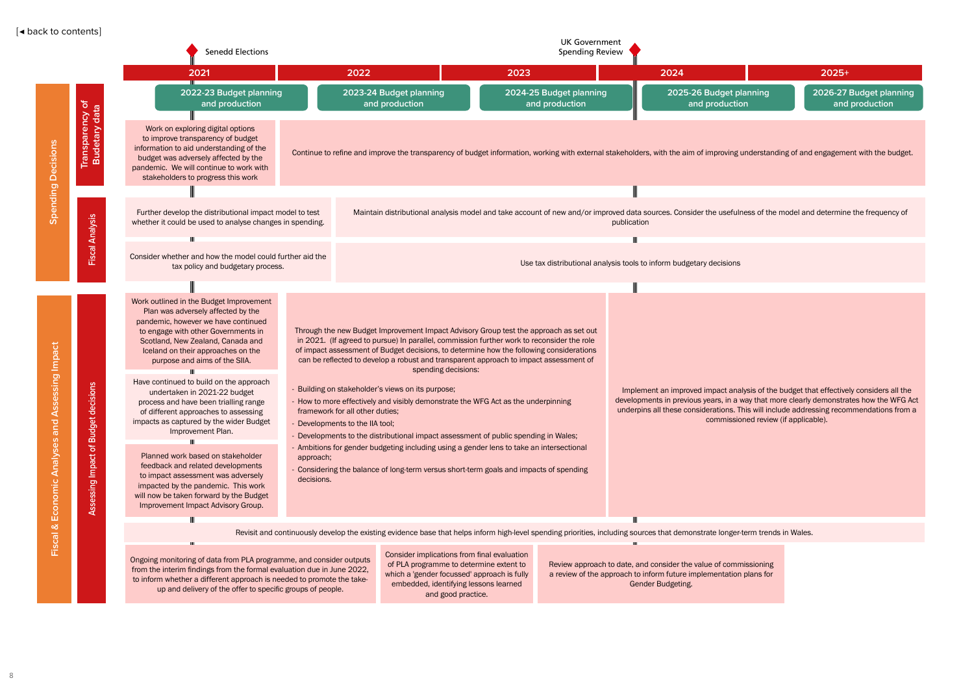|                                                   |                                                                                  | <b>Senedd Elections</b>                                                                                                                                                                                                                                                                                                                                                                                                                                                                                                                                                                                                                                                                                                                     |                         |                                                                                                                                                                                                                                                                                                                                                                                                                                                                                                                                                                                                                                                                                                                                                                                                                                                                                             | <b>UK Government</b><br><b>Spending Review</b>                                                                                                                   |                                                                                                                                                                                                                                                                          |                                      |                                           |
|---------------------------------------------------|----------------------------------------------------------------------------------|---------------------------------------------------------------------------------------------------------------------------------------------------------------------------------------------------------------------------------------------------------------------------------------------------------------------------------------------------------------------------------------------------------------------------------------------------------------------------------------------------------------------------------------------------------------------------------------------------------------------------------------------------------------------------------------------------------------------------------------------|-------------------------|---------------------------------------------------------------------------------------------------------------------------------------------------------------------------------------------------------------------------------------------------------------------------------------------------------------------------------------------------------------------------------------------------------------------------------------------------------------------------------------------------------------------------------------------------------------------------------------------------------------------------------------------------------------------------------------------------------------------------------------------------------------------------------------------------------------------------------------------------------------------------------------------|------------------------------------------------------------------------------------------------------------------------------------------------------------------|--------------------------------------------------------------------------------------------------------------------------------------------------------------------------------------------------------------------------------------------------------------------------|--------------------------------------|-------------------------------------------|
|                                                   |                                                                                  | 2021                                                                                                                                                                                                                                                                                                                                                                                                                                                                                                                                                                                                                                                                                                                                        |                         | 2022                                                                                                                                                                                                                                                                                                                                                                                                                                                                                                                                                                                                                                                                                                                                                                                                                                                                                        | 2023                                                                                                                                                             | 2024                                                                                                                                                                                                                                                                     |                                      | $2025+$                                   |
|                                                   |                                                                                  | 2022-23 Budget planning<br>and production                                                                                                                                                                                                                                                                                                                                                                                                                                                                                                                                                                                                                                                                                                   |                         | 2023-24 Budget planning<br>and production                                                                                                                                                                                                                                                                                                                                                                                                                                                                                                                                                                                                                                                                                                                                                                                                                                                   | 2024-25 Budget planning<br>and production                                                                                                                        | 2025-26 Budget planning<br>and production                                                                                                                                                                                                                                |                                      | 2026-27 Budget planning<br>and production |
| <b>Decisions</b>                                  | Transparency of<br>Budetary data                                                 | Work on exploring digital options<br>to improve transparency of budget<br>information to aid understanding of the<br>budget was adversely affected by the<br>pandemic. We will continue to work with<br>stakeholders to progress this work                                                                                                                                                                                                                                                                                                                                                                                                                                                                                                  |                         | Continue to refine and improve the transparency of budget information, working with external stakeholders, with the aim of improving understanding of and engagement with the budget.                                                                                                                                                                                                                                                                                                                                                                                                                                                                                                                                                                                                                                                                                                       |                                                                                                                                                                  |                                                                                                                                                                                                                                                                          |                                      |                                           |
|                                                   |                                                                                  |                                                                                                                                                                                                                                                                                                                                                                                                                                                                                                                                                                                                                                                                                                                                             |                         |                                                                                                                                                                                                                                                                                                                                                                                                                                                                                                                                                                                                                                                                                                                                                                                                                                                                                             |                                                                                                                                                                  |                                                                                                                                                                                                                                                                          |                                      |                                           |
| Spending                                          | <b>Fiscal Analysis</b>                                                           | Further develop the distributional impact model to test<br>whether it could be used to analyse changes in spending.                                                                                                                                                                                                                                                                                                                                                                                                                                                                                                                                                                                                                         |                         |                                                                                                                                                                                                                                                                                                                                                                                                                                                                                                                                                                                                                                                                                                                                                                                                                                                                                             | Maintain distributional analysis model and take account of new and/or improved data sources. Consider the usefulness of the model and determine the frequency of | publication                                                                                                                                                                                                                                                              |                                      |                                           |
|                                                   |                                                                                  | Ш                                                                                                                                                                                                                                                                                                                                                                                                                                                                                                                                                                                                                                                                                                                                           |                         |                                                                                                                                                                                                                                                                                                                                                                                                                                                                                                                                                                                                                                                                                                                                                                                                                                                                                             |                                                                                                                                                                  |                                                                                                                                                                                                                                                                          |                                      |                                           |
|                                                   |                                                                                  | Consider whether and how the model could further aid the<br>tax policy and budgetary process.                                                                                                                                                                                                                                                                                                                                                                                                                                                                                                                                                                                                                                               |                         |                                                                                                                                                                                                                                                                                                                                                                                                                                                                                                                                                                                                                                                                                                                                                                                                                                                                                             |                                                                                                                                                                  | Use tax distributional analysis tools to inform budgetary decisions                                                                                                                                                                                                      |                                      |                                           |
|                                                   |                                                                                  |                                                                                                                                                                                                                                                                                                                                                                                                                                                                                                                                                                                                                                                                                                                                             |                         |                                                                                                                                                                                                                                                                                                                                                                                                                                                                                                                                                                                                                                                                                                                                                                                                                                                                                             |                                                                                                                                                                  |                                                                                                                                                                                                                                                                          |                                      |                                           |
| essing Impact<br>⋖<br>and<br>Analyses<br>Economic | isions<br>$rac{e}{\sigma}$<br><b>get</b><br>ğ<br>$\bar{m}$<br>'ŏ<br>ssing<br>Ass | Work outlined in the Budget Improvement<br>Plan was adversely affected by the<br>pandemic, however we have continued<br>to engage with other Governments in<br>Scotland, New Zealand, Canada and<br>Iceland on their approaches on the<br>purpose and aims of the SIIA.<br>Have continued to build on the approach<br>undertaken in 2021-22 budget<br>process and have been trialling range<br>of different approaches to assessing<br>impacts as captured by the wider Budget<br>Improvement Plan.<br>Planned work based on stakeholder<br>feedback and related developments<br>to impact assessment was adversely<br>impacted by the pandemic. This work<br>will now be taken forward by the Budget<br>Improvement Impact Advisory Group. | approach;<br>decisions. | Through the new Budget Improvement Impact Advisory Group test the approach as set out<br>in 2021. (If agreed to pursue) In parallel, commission further work to reconsider the role<br>of impact assessment of Budget decisions, to determine how the following considerations<br>can be reflected to develop a robust and transparent approach to impact assessment of<br>spending decisions:<br>- Building on stakeholder's views on its purpose;<br>- How to more effectively and visibly demonstrate the WFG Act as the underpinning<br>framework for all other duties;<br>- Developments to the IIA tool;<br>- Developments to the distributional impact assessment of public spending in Wales;<br>- Ambitions for gender budgeting including using a gender lens to take an intersectional<br>- Considering the balance of long-term versus short-term goals and impacts of spending |                                                                                                                                                                  | Implement an improved impact analysis of the budget that effectively considers all the<br>developments in previous years, in a way that more clearly demonstrates how the WFG A<br>underpins all these considerations. This will include addressing recommendations from | commissioned review (if applicable). |                                           |
| ళ                                                 |                                                                                  | Ш                                                                                                                                                                                                                                                                                                                                                                                                                                                                                                                                                                                                                                                                                                                                           |                         |                                                                                                                                                                                                                                                                                                                                                                                                                                                                                                                                                                                                                                                                                                                                                                                                                                                                                             |                                                                                                                                                                  |                                                                                                                                                                                                                                                                          |                                      |                                           |
| $\overline{c}$                                    |                                                                                  | Ш                                                                                                                                                                                                                                                                                                                                                                                                                                                                                                                                                                                                                                                                                                                                           |                         | Revisit and continuously develop the existing evidence base that helps inform high-level spending priorities, including sources that demonstrate longer-term trends in Wales.                                                                                                                                                                                                                                                                                                                                                                                                                                                                                                                                                                                                                                                                                                               |                                                                                                                                                                  |                                                                                                                                                                                                                                                                          |                                      |                                           |
|                                                   |                                                                                  |                                                                                                                                                                                                                                                                                                                                                                                                                                                                                                                                                                                                                                                                                                                                             |                         | Consider implications from final evaluation                                                                                                                                                                                                                                                                                                                                                                                                                                                                                                                                                                                                                                                                                                                                                                                                                                                 |                                                                                                                                                                  |                                                                                                                                                                                                                                                                          |                                      |                                           |

|                            | $2025+$                                             |
|----------------------------|-----------------------------------------------------|
| t planning<br><b>ction</b> | 2026-27 Budget planning<br>and production           |
|                            |                                                     |
|                            | ng understanding of and engagement with the budget. |
|                            |                                                     |
|                            | fulness of the model and determine the frequency of |
| ns                         |                                                     |
|                            |                                                     |
|                            |                                                     |
|                            |                                                     |

Ongoing monitoring of data from PLA programme, and consider outputs from the interim findings from the formal evaluation due in June 2022, to inform whether a different approach is needed to promote the takeup and delivery of the offer to specific groups of people.

Consider implications from final evaluation of PLA programme to determine extent to which a 'gender focussed' approach is fully embedded, identifying lessons learned and good practice.

Review approach to date, and consider the value of commissioning a review of the approach to inform future implementation plans for Gender Budgeting.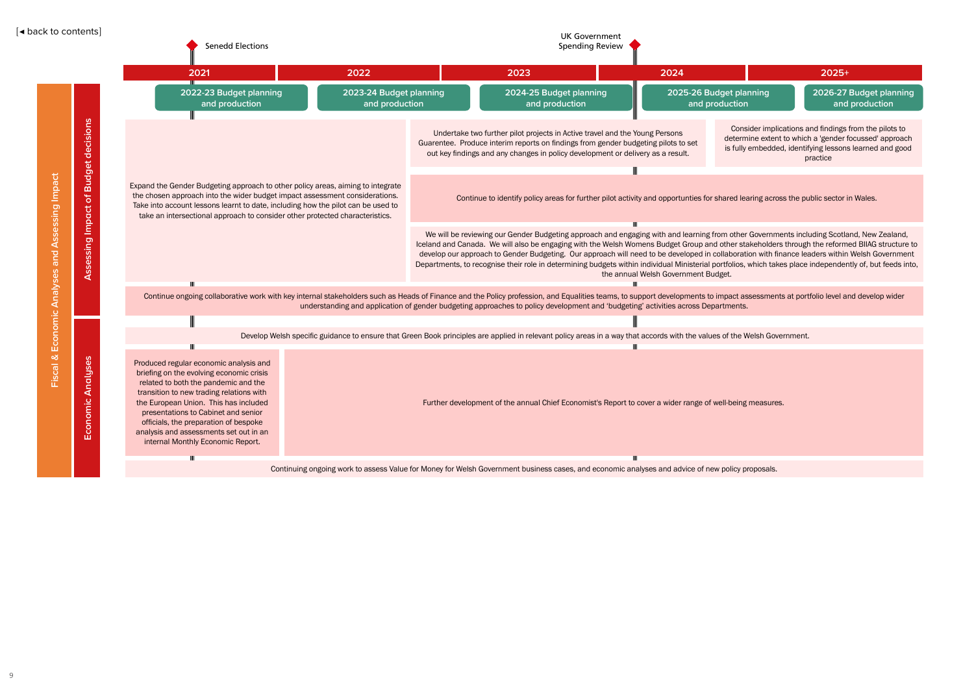

Consider implications and findings from the pilots to determine extent to which a 'gender focussed' approach is fully embedded, identifying lessons learned and good practice

|   | $2025+$             |
|---|---------------------|
| g | 2026-27 Budget play |
|   | and production      |

anning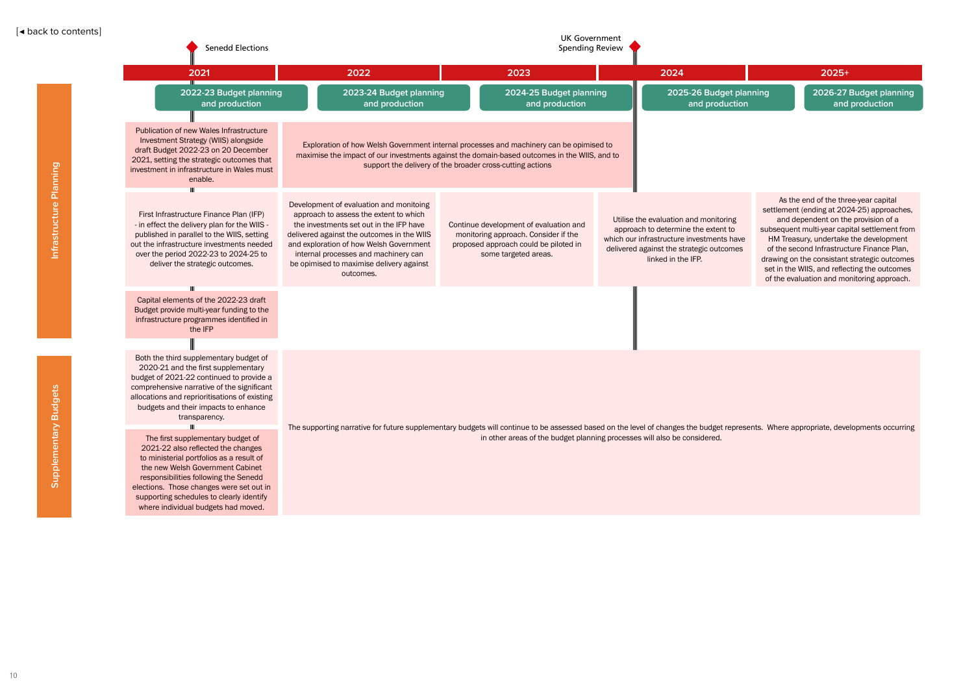**2026-27 Budget planning and production**

| <b>Senedd Elections</b>                                                                                                                                                                                                                                                                                                                                                                                                                                                                                                                                                                                              | <b>UK Government</b><br><b>Spending Review</b>                                                                                                                                                                                                                                                                         |                                                                                                                                                                                                                                                      |  |                                                                                                                                                                                             |  |                                                                                                                                                                                                                                                      |
|----------------------------------------------------------------------------------------------------------------------------------------------------------------------------------------------------------------------------------------------------------------------------------------------------------------------------------------------------------------------------------------------------------------------------------------------------------------------------------------------------------------------------------------------------------------------------------------------------------------------|------------------------------------------------------------------------------------------------------------------------------------------------------------------------------------------------------------------------------------------------------------------------------------------------------------------------|------------------------------------------------------------------------------------------------------------------------------------------------------------------------------------------------------------------------------------------------------|--|---------------------------------------------------------------------------------------------------------------------------------------------------------------------------------------------|--|------------------------------------------------------------------------------------------------------------------------------------------------------------------------------------------------------------------------------------------------------|
| 2021                                                                                                                                                                                                                                                                                                                                                                                                                                                                                                                                                                                                                 | 2022                                                                                                                                                                                                                                                                                                                   | 2023                                                                                                                                                                                                                                                 |  | 2024                                                                                                                                                                                        |  | 2025+                                                                                                                                                                                                                                                |
| 2022-23 Budget planning<br>and production                                                                                                                                                                                                                                                                                                                                                                                                                                                                                                                                                                            | 2023-24 Budget planning<br>and production                                                                                                                                                                                                                                                                              | 2024-25 Budget planning<br>and production                                                                                                                                                                                                            |  | 2025-26 Budget planning<br>and production                                                                                                                                                   |  | 2026-27<br>and                                                                                                                                                                                                                                       |
| Publication of new Wales Infrastructure<br>Investment Strategy (WIIS) alongside<br>draft Budget 2022-23 on 20 December<br>2021, setting the strategic outcomes that<br>investment in infrastructure in Wales must<br>enable.<br>$\overline{\mathbf{H}}$                                                                                                                                                                                                                                                                                                                                                              |                                                                                                                                                                                                                                                                                                                        | Exploration of how Welsh Government internal processes and machinery can be opimised to<br>maximise the impact of our investments against the domain-based outcomes in the WIIS, and to<br>support the delivery of the broader cross-cutting actions |  |                                                                                                                                                                                             |  |                                                                                                                                                                                                                                                      |
| First Infrastructure Finance Plan (IFP)<br>- in effect the delivery plan for the WIIS -<br>published in parallel to the WIIS, setting<br>out the infrastructure investments needed<br>over the period 2022-23 to 2024-25 to<br>deliver the strategic outcomes.                                                                                                                                                                                                                                                                                                                                                       | Development of evaluation and monitoing<br>approach to assess the extent to which<br>the investments set out in the IFP have<br>delivered against the outcomes in the WIIS<br>and exploration of how Welsh Government<br>internal processes and machinery can<br>be opimised to maximise delivery against<br>outcomes. | Continue development of evaluation and<br>monitoring approach. Consider if the<br>proposed approach could be piloted in<br>some targeted areas.                                                                                                      |  | Utilise the evaluation and monitoring<br>approach to determine the extent to<br>which our infrastructure investments have<br>delivered against the strategic outcomes<br>linked in the IFP. |  | As the end of the thr<br>settlement (ending at 202<br>and dependent on th<br>subsequent multi-year cap<br>HM Treasury, undertake<br>of the second Infrastruc<br>drawing on the consistant<br>set in the WIIS, and refleo<br>of the evaluation and mo |
| Capital elements of the 2022-23 draft<br>Budget provide multi-year funding to the<br>infrastructure programmes identified in<br>the IFP                                                                                                                                                                                                                                                                                                                                                                                                                                                                              |                                                                                                                                                                                                                                                                                                                        |                                                                                                                                                                                                                                                      |  |                                                                                                                                                                                             |  |                                                                                                                                                                                                                                                      |
| Both the third supplementary budget of<br>2020-21 and the first supplementary<br>budget of 2021-22 continued to provide a<br>comprehensive narrative of the significant<br>allocations and reprioritisations of existing<br>budgets and their impacts to enhance<br>transparency.<br>The first supplementary budget of<br>2021-22 also reflected the changes<br>to ministerial portfolios as a result of<br>the new Welsh Government Cabinet<br>responsibilities following the Senedd<br>elections. Those changes were set out in<br>supporting schedules to clearly identify<br>where individual budgets had moved. | The supporting narrative for future supplementary budgets will continue to be assessed based on the level of changes the budget represents. Where appropriate, deve                                                                                                                                                    | in other areas of the budget planning processes will also be considered.                                                                                                                                                                             |  |                                                                                                                                                                                             |  |                                                                                                                                                                                                                                                      |

As the end of the three-year capital settlement (ending at 2024-25) approaches, and dependent on the provision of a subsequent multi-year capital settlement from HM Treasury, undertake the development of the second Infrastructure Finance Plan, drawing on the consistant strategic outcomes set in the WIIS, and reflecting the outcomes of the evaluation and monitoring approach.

presents. Where appropriate, developments occurring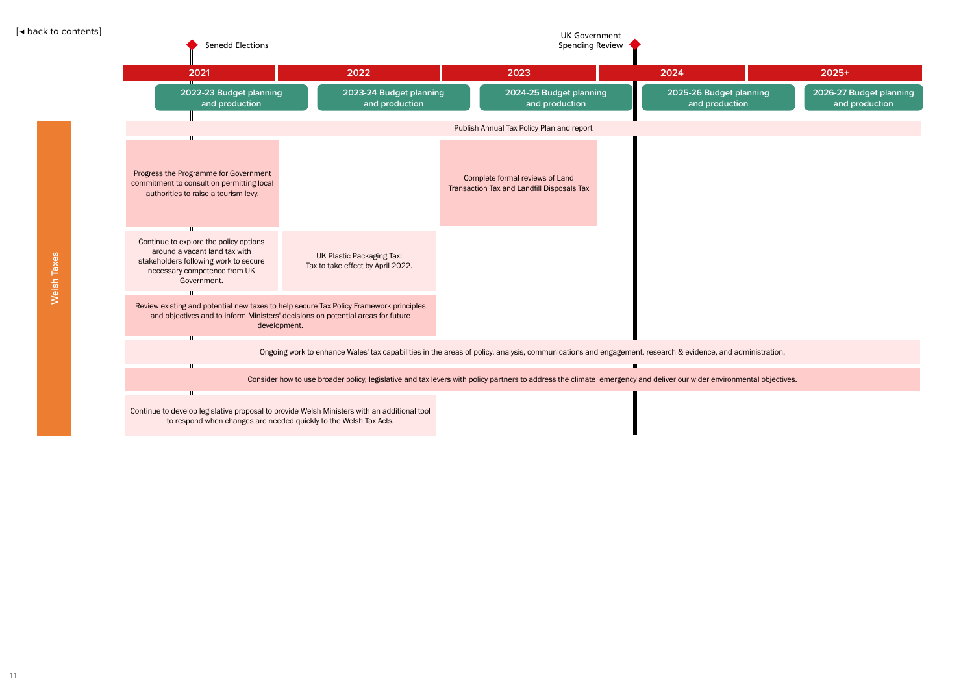

**2026-27 Budget planning and production**

| <b>Senedd Elections</b>                                                                                                                                                                                        |                                                                                                                                                                      | <b>UK Government</b><br><b>Spending Review</b>                                |              |                                           |                |
|----------------------------------------------------------------------------------------------------------------------------------------------------------------------------------------------------------------|----------------------------------------------------------------------------------------------------------------------------------------------------------------------|-------------------------------------------------------------------------------|--------------|-------------------------------------------|----------------|
| 2021                                                                                                                                                                                                           | 2022                                                                                                                                                                 | 2023                                                                          |              | 2024                                      | $2025+$        |
| 2022-23 Budget planning<br>and production                                                                                                                                                                      | 2023-24 Budget planning<br>and production                                                                                                                            | 2024-25 Budget planning<br>and production                                     |              | 2025-26 Budget planning<br>and production | 2026-27<br>and |
|                                                                                                                                                                                                                |                                                                                                                                                                      | Publish Annual Tax Policy Plan and report                                     |              |                                           |                |
| $\mathbf{m}$<br>Progress the Programme for Government<br>commitment to consult on permitting local<br>authorities to raise a tourism levy.<br>Ш                                                                |                                                                                                                                                                      | Complete formal reviews of Land<br>Transaction Tax and Landfill Disposals Tax |              |                                           |                |
| Continue to explore the policy options<br>around a vacant land tax with<br>stakeholders following work to secure<br>necessary competence from UK<br>Government.                                                | UK Plastic Packaging Tax:<br>Tax to take effect by April 2022.                                                                                                       |                                                                               |              |                                           |                |
| $\mathbf{m}$<br>Review existing and potential new taxes to help secure Tax Policy Framework principles<br>and objectives and to inform Ministers' decisions on potential areas for future<br>development.<br>Ш |                                                                                                                                                                      |                                                                               |              |                                           |                |
| $\mathbf{II}$                                                                                                                                                                                                  | Ongoing work to enhance Wales' tax capabilities in the areas of policy, analysis, communications and engagement, research & evidence, and administration.            |                                                                               | $\mathbf{H}$ |                                           |                |
|                                                                                                                                                                                                                | Consider how to use broader policy, legislative and tax levers with policy partners to address the climate emergency and deliver our wider environmental objectives. |                                                                               |              |                                           |                |
| Ш<br>Continue to develop legislative proposal to provide Welsh Ministers with an additional tool<br>to respond when changes are needed quickly to the Welsh Tax Acts.                                          |                                                                                                                                                                      |                                                                               |              |                                           |                |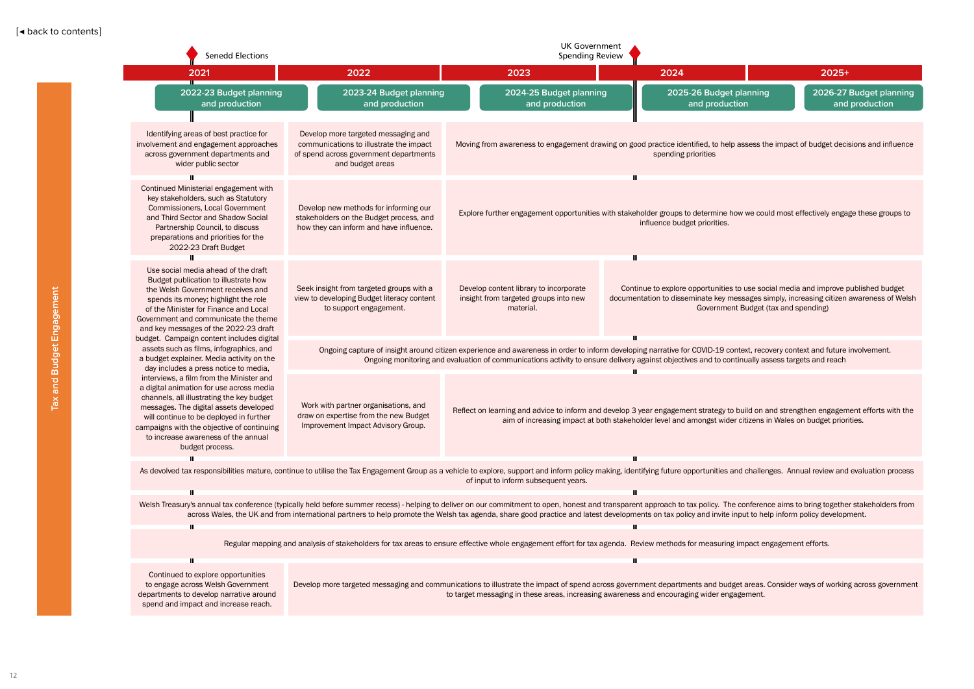anning **2026-27 Budget planning and production** aild on and strengthen engagement efforts with the citizens in Wales on budget priorities. challenges. Annual review and evaluation process onference aims to bring together stakeholders from ut to help inform policy development. npact engagement efforts. ssess the impact of budget decisions and influence we could most effectively engage these groups to use social media and improve published budget sages simply, increasing citizen awareness of Welsh Budget (tax and spending) ext, recovery context and future involvement. **oually assess targets and reach** 

areas. Consider ways of working across government

| <b>Senedd Elections</b>                                                                                                                                                                                                                                                                                                        |                                                                                                                                              | <b>UK Government</b><br><b>Spending Review</b>                                                                                                                                                                                                                                                                                                                                                                           |   |                                                                                                                                             |                                      |                |
|--------------------------------------------------------------------------------------------------------------------------------------------------------------------------------------------------------------------------------------------------------------------------------------------------------------------------------|----------------------------------------------------------------------------------------------------------------------------------------------|--------------------------------------------------------------------------------------------------------------------------------------------------------------------------------------------------------------------------------------------------------------------------------------------------------------------------------------------------------------------------------------------------------------------------|---|---------------------------------------------------------------------------------------------------------------------------------------------|--------------------------------------|----------------|
| 2021                                                                                                                                                                                                                                                                                                                           | 2022                                                                                                                                         | 2023                                                                                                                                                                                                                                                                                                                                                                                                                     |   | 2024                                                                                                                                        |                                      | $2025+$        |
| 2022-23 Budget planning<br>and production                                                                                                                                                                                                                                                                                      | 2023-24 Budget planning<br>and production                                                                                                    | 2024-25 Budget planning<br>and production                                                                                                                                                                                                                                                                                                                                                                                |   | 2025-26 Budget planning<br>and production                                                                                                   |                                      | 2026-27<br>and |
| Identifying areas of best practice for<br>involvement and engagement approaches<br>across government departments and<br>wider public sector                                                                                                                                                                                    | Develop more targeted messaging and<br>communications to illustrate the impact<br>of spend across government departments<br>and budget areas | Moving from awareness to engagement drawing on good practice identified, to help assess the impact of budget deci                                                                                                                                                                                                                                                                                                        |   | spending priorities                                                                                                                         |                                      |                |
| Continued Ministerial engagement with<br>key stakeholders, such as Statutory<br><b>Commissioners, Local Government</b><br>and Third Sector and Shadow Social<br>Partnership Council, to discuss<br>preparations and priorities for the<br>2022-23 Draft Budget                                                                 | Develop new methods for informing our<br>stakeholders on the Budget process, and<br>how they can inform and have influence.                  | Explore further engagement opportunities with stakeholder groups to determine how we could most effectively enga                                                                                                                                                                                                                                                                                                         | Ш | influence budget priorities.                                                                                                                |                                      |                |
| Use social media ahead of the draft<br>Budget publication to illustrate how<br>the Welsh Government receives and<br>spends its money; highlight the role<br>of the Minister for Finance and Local<br>Government and communicate the theme<br>and key messages of the 2022-23 draft                                             | Seek insight from targeted groups with a<br>view to developing Budget literacy content<br>to support engagement.                             | Develop content library to incorporate<br>insight from targeted groups into new<br>material.                                                                                                                                                                                                                                                                                                                             | Ш | Continue to explore opportunities to use social media and improve p<br>documentation to disseminate key messages simply, increasing citizen | Government Budget (tax and spending) |                |
| budget. Campaign content includes digital<br>assets such as films, infographics, and<br>a budget explainer. Media activity on the<br>day includes a press notice to media,                                                                                                                                                     |                                                                                                                                              | Ongoing capture of insight around citizen experience and awareness in order to inform developing narrative for COVID-19 context, recovery context and future<br>Ongoing monitoring and evaluation of communications activity to ensure delivery against objectives and to continually assess targets and reach                                                                                                           |   |                                                                                                                                             |                                      |                |
| interviews, a film from the Minister and<br>a digital animation for use across media<br>channels, all illustrating the key budget<br>messages. The digital assets developed<br>will continue to be deployed in further<br>campaigns with the objective of continuing<br>to increase awareness of the annual<br>budget process. | Work with partner organisations, and<br>draw on expertise from the new Budget<br>Improvement Impact Advisory Group.                          | Reflect on learning and advice to inform and develop 3 year engagement strategy to build on and strengthen engagem<br>aim of increasing impact at both stakeholder level and amongst wider citizens in Wales on budget prior                                                                                                                                                                                             |   |                                                                                                                                             |                                      |                |
| Ш                                                                                                                                                                                                                                                                                                                              |                                                                                                                                              | As devolved tax responsibilities mature, continue to utilise the Tax Engagement Group as a vehicle to explore, support and inform policy making, identifying future opportunities and challenges. Annual review and<br>of input to inform subsequent years.                                                                                                                                                              |   |                                                                                                                                             |                                      |                |
| $\mathbf{II}$                                                                                                                                                                                                                                                                                                                  |                                                                                                                                              | Welsh Treasury's annual tax conference (typically held before summer recess) - helping to deliver on our commitment to open, honest and transparent approach to tax policy. The conference aims to bring togethe<br>across Wales, the UK and from international partners to help promote the Welsh tax agenda, share good practice and latest developments on tax policy and invite input to help inform policy developi |   |                                                                                                                                             |                                      |                |
| Ш                                                                                                                                                                                                                                                                                                                              |                                                                                                                                              | Regular mapping and analysis of stakeholders for tax areas to ensure effective whole engagement effort for tax agenda. Review methods for measuring impact engagement efforts.                                                                                                                                                                                                                                           |   |                                                                                                                                             |                                      |                |
| Ш<br>Continued to explore opportunities<br>to engage across Welsh Government<br>departments to develop narrative around<br>spend and impact and increase reach.                                                                                                                                                                |                                                                                                                                              | Develop more targeted messaging and communications to illustrate the impact of spend across government departments and budget areas. Consider ways of workin<br>to target messaging in these areas, increasing awareness and encouraging wider engagement.                                                                                                                                                               | Ш |                                                                                                                                             |                                      |                |